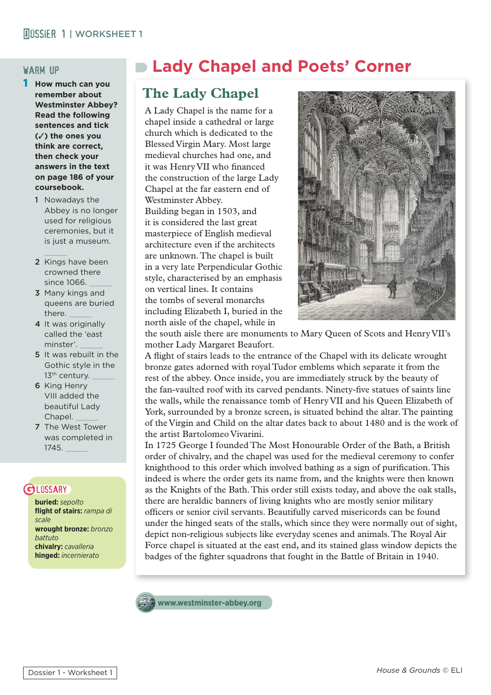#### warm up

- 1 **How much can you remember about Westminster Abbey? Read the following sentences and tick (**✓**) the ones you think are correct, then check your answers in the text on page 186 of your coursebook.**
	- 1 Nowadays the Abbey is no longer used for religious ceremonies, but it is just a museum.
	- 2 Kings have been crowned there since 1066.
	- 3 Many kings and queens are buried there.
	- 4 It was originally called the 'east minster'. \_\_\_\_\_
	- 5 It was rebuilt in the Gothic style in the 13<sup>th</sup> century.
	- 6 King Henry VIII added the beautiful Lady Chapel.
	- 7 The West Tower was completed in 1745. \_\_\_\_\_

### **GLOSSARY**

**buried:** *sepolto* **fl ight of stairs:** *rampa di scale* **wrought bronze:** *bronzo battuto* **chivalry:** *cavalleria* **hinged:** *incernierato*

# **Lady Chapel and Poets' Corner**

## **The Lady Chapel**

A Lady Chapel is the name for a chapel inside a cathedral or large church which is dedicated to the Blessed Virgin Mary. Most large medieval churches had one, and it was Henry VII who financed the construction of the large Lady Chapel at the far eastern end of Westminster Abbey. Building began in 1503, and

it is considered the last great masterpiece of English medieval architecture even if the architects are unknown. The chapel is built in a very late Perpendicular Gothic style, characterised by an emphasis on vertical lines. It contains the tombs of several monarchs including Elizabeth I, buried in the north aisle of the chapel, while in



the south aisle there are monuments to Mary Queen of Scots and Henry VII's mother Lady Margaret Beaufort.

A flight of stairs leads to the entrance of the Chapel with its delicate wrought bronze gates adorned with royal Tudor emblems which separate it from the rest of the abbey. Once inside, you are immediately struck by the beauty of the fan-vaulted roof with its carved pendants. Ninety-five statues of saints line the walls, while the renaissance tomb of Henry VII and his Queen Elizabeth of York, surrounded by a bronze screen, is situated behind the altar. The painting of the Virgin and Child on the altar dates back to about 1480 and is the work of the artist Bartolomeo Vivarini.

In 1725 George I founded The Most Honourable Order of the Bath, a British order of chivalry, and the chapel was used for the medieval ceremony to confer knighthood to this order which involved bathing as a sign of purification. This indeed is where the order gets its name from, and the knights were then known as the Knights of the Bath. This order still exists today, and above the oak stalls, there are heraldic banners of living knights who are mostly senior military officers or senior civil servants. Beautifully carved misericords can be found under the hinged seats of the stalls, which since they were normally out of sight, depict non-religious subjects like everyday scenes and animals. The Royal Air Force chapel is situated at the east end, and its stained glass window depicts the badges of the fighter squadrons that fought in the Battle of Britain in 1940.

**www.westminster-abbey.org**